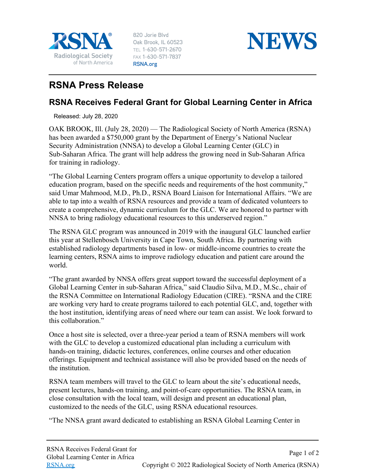

820 Jorie Blvd Oak Brook, IL 60523 TEL 1-630-571-2670 FAX 1-630-571-7837 RSNA.org



## **RSNA Press Release**

## **RSNA Receives Federal Grant for Global Learning Center in Africa**

Released: July 28, 2020

OAK BROOK, Ill. (July 28, 2020) — The Radiological Society of North America (RSNA) has been awarded a \$750,000 grant by the Department of Energy's National Nuclear Security Administration (NNSA) to develop a Global Learning Center (GLC) in Sub-Saharan Africa. The grant will help address the growing need in Sub-Saharan Africa for training in radiology.

"The Global Learning Centers program offers a unique opportunity to develop a tailored education program, based on the specific needs and requirements of the host community," said Umar Mahmood, M.D., Ph.D., RSNA Board Liaison for International Affairs. "We are able to tap into a wealth of RSNA resources and provide a team of dedicated volunteers to create a comprehensive, dynamic curriculum for the GLC. We are honored to partner with NNSA to bring radiology educational resources to this underserved region."

The RSNA GLC program was announced in 2019 with the inaugural GLC launched earlier this year at Stellenbosch University in Cape Town, South Africa. By partnering with established radiology departments based in low- or middle-income countries to create the learning centers, RSNA aims to improve radiology education and patient care around the world.

"The grant awarded by NNSA offers great support toward the successful deployment of a Global Learning Center in sub-Saharan Africa," said Claudio Silva, M.D., M.Sc., chair of the RSNA Committee on International Radiology Education (CIRE). "RSNA and the CIRE are working very hard to create programs tailored to each potential GLC, and, together with the host institution, identifying areas of need where our team can assist. We look forward to this collaboration."

Once a host site is selected, over a three-year period a team of RSNA members will work with the GLC to develop a customized educational plan including a curriculum with hands-on training, didactic lectures, conferences, online courses and other education offerings. Equipment and technical assistance will also be provided based on the needs of the institution.

RSNA team members will travel to the GLC to learn about the site's educational needs, present lectures, hands‐on training, and point‐of‐care opportunities. The RSNA team, in close consultation with the local team, will design and present an educational plan, customized to the needs of the GLC, using RSNA educational resources.

"The NNSA grant award dedicated to establishing an RSNA Global Learning Center in